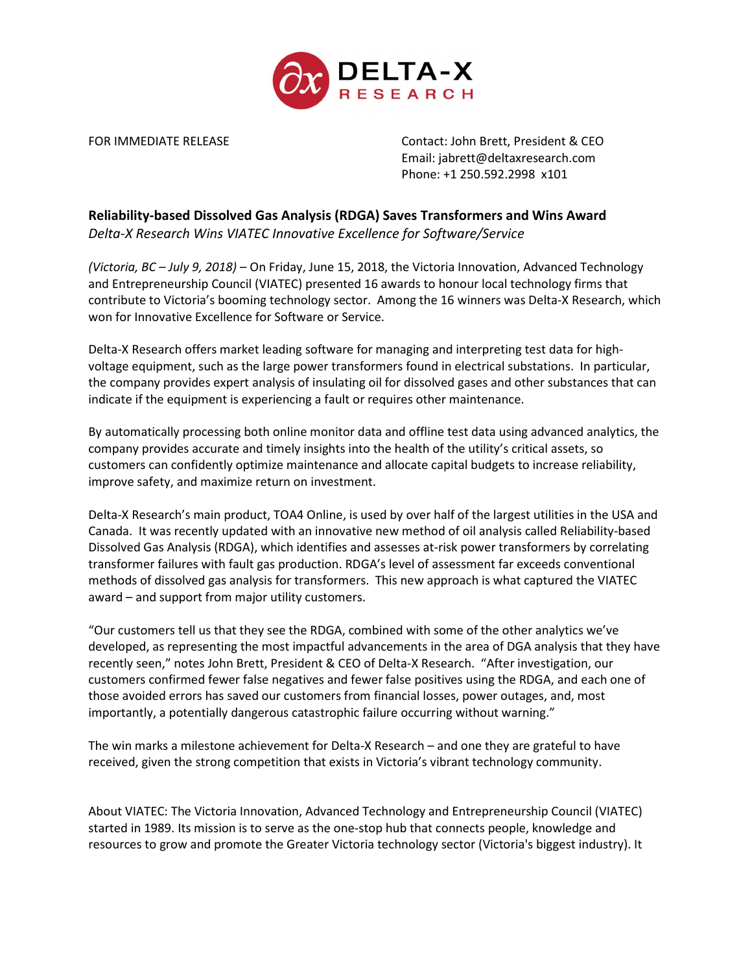

FOR IMMEDIATE RELEASE CONTACT CONTACT: John Brett, President & CEO Email: jabrett@deltaxresearch.com Phone: +1 250.592.2998 x101

## Reliability-based Dissolved Gas Analysis (RDGA) Saves Transformers and Wins Award

Delta-X Research Wins VIATEC Innovative Excellence for Software/Service

(Victoria, BC – July 9, 2018) – On Friday, June 15, 2018, the Victoria Innovation, Advanced Technology and Entrepreneurship Council (VIATEC) presented 16 awards to honour local technology firms that contribute to Victoria's booming technology sector. Among the 16 winners was Delta-X Research, which won for Innovative Excellence for Software or Service.

Delta-X Research offers market leading software for managing and interpreting test data for highvoltage equipment, such as the large power transformers found in electrical substations. In particular, the company provides expert analysis of insulating oil for dissolved gases and other substances that can indicate if the equipment is experiencing a fault or requires other maintenance.

By automatically processing both online monitor data and offline test data using advanced analytics, the company provides accurate and timely insights into the health of the utility's critical assets, so customers can confidently optimize maintenance and allocate capital budgets to increase reliability, improve safety, and maximize return on investment.

Delta-X Research's main product, TOA4 Online, is used by over half of the largest utilities in the USA and Canada. It was recently updated with an innovative new method of oil analysis called Reliability-based Dissolved Gas Analysis (RDGA), which identifies and assesses at-risk power transformers by correlating transformer failures with fault gas production. RDGA's level of assessment far exceeds conventional methods of dissolved gas analysis for transformers. This new approach is what captured the VIATEC award – and support from major utility customers.

"Our customers tell us that they see the RDGA, combined with some of the other analytics we've developed, as representing the most impactful advancements in the area of DGA analysis that they have recently seen," notes John Brett, President & CEO of Delta-X Research. "After investigation, our customers confirmed fewer false negatives and fewer false positives using the RDGA, and each one of those avoided errors has saved our customers from financial losses, power outages, and, most importantly, a potentially dangerous catastrophic failure occurring without warning."

The win marks a milestone achievement for Delta-X Research – and one they are grateful to have received, given the strong competition that exists in Victoria's vibrant technology community.

About VIATEC: The Victoria Innovation, Advanced Technology and Entrepreneurship Council (VIATEC) started in 1989. Its mission is to serve as the one-stop hub that connects people, knowledge and resources to grow and promote the Greater Victoria technology sector (Victoria's biggest industry). It